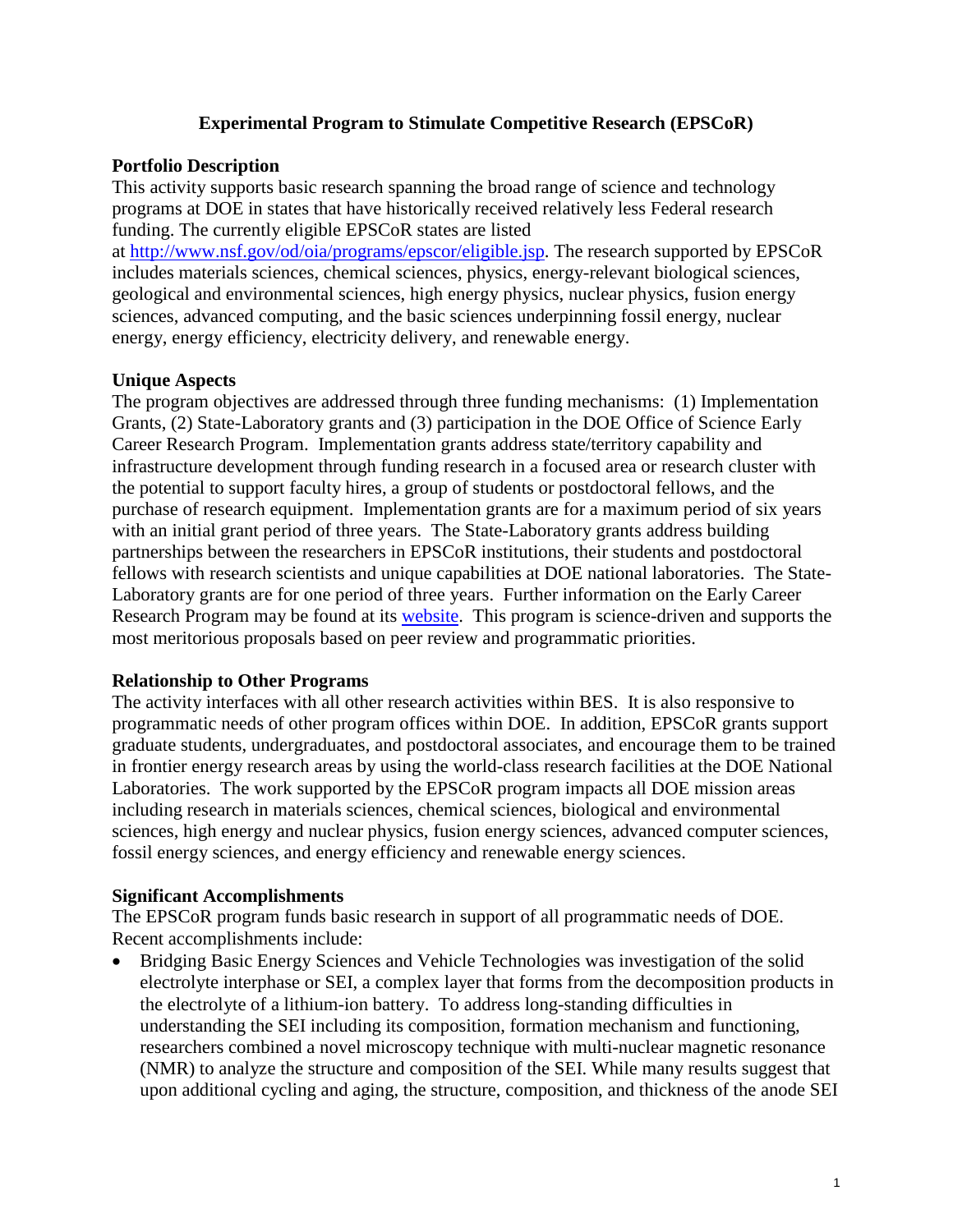### **Experimental Program to Stimulate Competitive Research (EPSCoR)**

#### **Portfolio Description**

This activity supports basic research spanning the broad range of science and technology programs at DOE in states that have historically received relatively less Federal research funding. The currently eligible EPSCoR states are listed

at [http://www.nsf.gov/od/oia/programs/epscor/eligible.jsp.](http://www.nsf.gov/od/oia/programs/epscor/eligible.jsp) The research supported by EPSCoR includes materials sciences, chemical sciences, physics, energy-relevant biological sciences, geological and environmental sciences, high energy physics, nuclear physics, fusion energy sciences, advanced computing, and the basic sciences underpinning fossil energy, nuclear energy, energy efficiency, electricity delivery, and renewable energy.

### **Unique Aspects**

The program objectives are addressed through three funding mechanisms: (1) Implementation Grants, (2) State-Laboratory grants and (3) participation in the DOE Office of Science Early Career Research Program. Implementation grants address state/territory capability and infrastructure development through funding research in a focused area or research cluster with the potential to support faculty hires, a group of students or postdoctoral fellows, and the purchase of research equipment.Implementation grants are for a maximum period of six years with an initial grant period of three years. The State-Laboratory grants address building partnerships between the researchers in EPSCoR institutions, their students and postdoctoral fellows with research scientists and unique capabilities at DOE national laboratories. The State-Laboratory grants are for one period of three years. Further information on the Early Career Research Program may be found at its [website.](http://science.energy.gov/early-career/) This program is science-driven and supports the most meritorious proposals based on peer review and programmatic priorities.

#### **Relationship to Other Programs**

The activity interfaces with all other research activities within BES. It is also responsive to programmatic needs of other program offices within DOE. In addition, EPSCoR grants support graduate students, undergraduates, and postdoctoral associates, and encourage them to be trained in frontier energy research areas by using the world-class research facilities at the DOE National Laboratories. The work supported by the EPSCoR program impacts all DOE mission areas including research in materials sciences, chemical sciences, biological and environmental sciences, high energy and nuclear physics, fusion energy sciences, advanced computer sciences, fossil energy sciences, and energy efficiency and renewable energy sciences.

#### **Significant Accomplishments**

The EPSCoR program funds basic research in support of all programmatic needs of DOE. Recent accomplishments include:

• Bridging Basic Energy Sciences and Vehicle Technologies was investigation of the solid electrolyte interphase or SEI, a complex layer that forms from the decomposition products in the electrolyte of a lithium-ion battery. To address long-standing difficulties in understanding the SEI including its composition, formation mechanism and functioning, researchers combined a novel microscopy technique with multi-nuclear magnetic resonance (NMR) to analyze the structure and composition of the SEI. While many results suggest that upon additional cycling and aging, the structure, composition, and thickness of the anode SEI